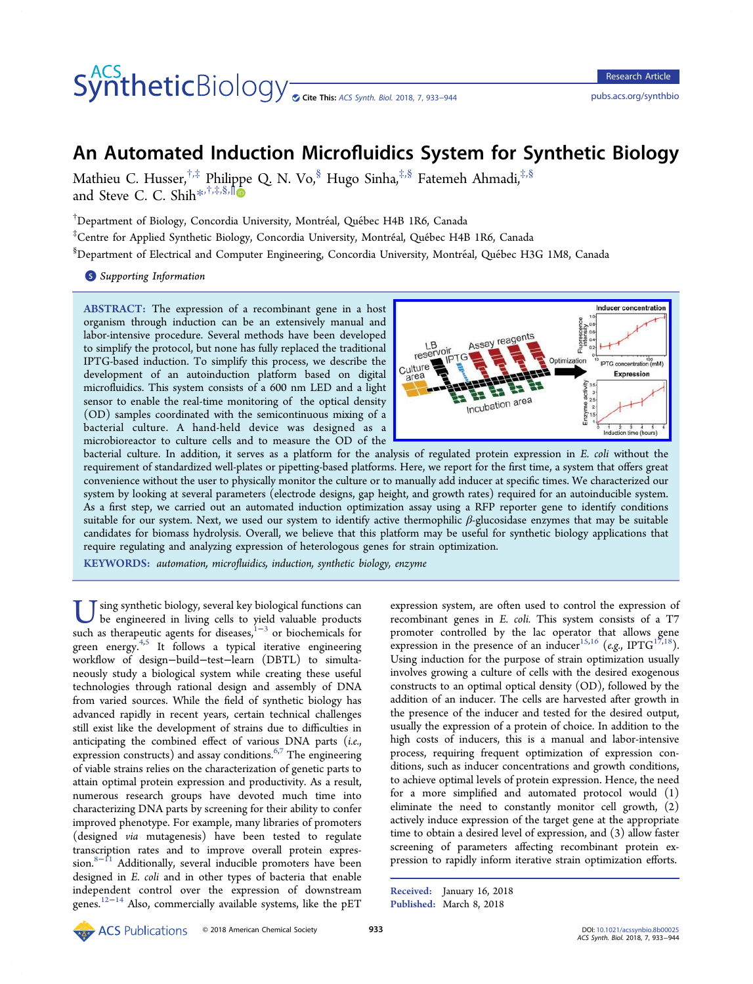# SyntheticBiology <sub>S</sub>cite This: [ACS Synth. Biol.](http://pubs.acs.org/action/showCitFormats?doi=10.1021/acssynbio.8b00025) 2018, 7, 933–944 <pubs.acs.org/synthbio>l

## An Automated Induction Microfluidics System for Synthetic Biology

Mathieu C. Husser, $^{\dagger,\ddagger}$  Philippe Q. N. Vo, $^{\S}$  Hugo Sinha, $^{\ddagger,\S}$  Fatemeh Ahmadi, $^{\ddagger,\S}$ and Steve C. C. Shih[\\*](#page-9-0),†,‡,§,[∥](#page-9-0)

 $^\dagger$ Department of Biology, Concordia University, Montréal, Québec H4B 1R6, Canada

 $^{\ddagger}$ Centre for Applied Synthetic Biology, Concordia University, Montréal, Québec H4B 1R6, Canada

 $^{\$}$ Department of Electrical and Computer Engineering, Concordia University, Montréal, Québec H3G 1M8, Canada

S [Supporting Information](#page-9-0)

ABSTRACT: The expression of a recombinant gene in a host organism through induction can be an extensively manual and labor-intensive procedure. Several methods have been developed to simplify the protocol, but none has fully replaced the traditional IPTG-based induction. To simplify this process, we describe the development of an autoinduction platform based on digital microfluidics. This system consists of a 600 nm LED and a light sensor to enable the real-time monitoring of the optical density (OD) samples coordinated with the semicontinuous mixing of a bacterial culture. A hand-held device was designed as a microbioreactor to culture cells and to measure the OD of the



bacterial culture. In addition, it serves as a platform for the analysis of regulated protein expression in E. coli without the requirement of standardized well-plates or pipetting-based platforms. Here, we report for the first time, a system that offers great convenience without the user to physically monitor the culture or to manually add inducer at specific times. We characterized our system by looking at several parameters (electrode designs, gap height, and growth rates) required for an autoinducible system. As a first step, we carried out an automated induction optimization assay using a RFP reporter gene to identify conditions suitable for our system. Next, we used our system to identify active thermophilic β-glucosidase enzymes that may be suitable candidates for biomass hydrolysis. Overall, we believe that this platform may be useful for synthetic biology applications that require regulating and analyzing expression of heterologous genes for strain optimization.

KEYWORDS: automation, microfluidics, induction, synthetic biology, enzyme

 $\bigcup$  sing synthetic biology, several key biological functions can<br>be engineered in living cells to yield valuable products<br>such as there parts for discoses  $1-3$  or biochamicals for such as therapeutic agents for diseases, $1-3$  or biochemicals for green energy.<sup>[4](#page-9-0),[5](#page-9-0)</sup> It follows a typical iterative engineering workflow of design−build−test−learn (DBTL) to simultaneously study a biological system while creating these useful technologies through rational design and assembly of DNA from varied sources. While the field of synthetic biology has advanced rapidly in recent years, certain technical challenges still exist like the development of strains due to difficulties in anticipating the combined effect of various DNA parts (i.e., expression constructs) and assay conditions.<sup>[6,7](#page-9-0)</sup> The engineering of viable strains relies on the characterization of genetic parts to attain optimal protein expression and productivity. As a result, numerous research groups have devoted much time into characterizing DNA parts by screening for their ability to confer improved phenotype. For example, many libraries of promoters (designed via mutagenesis) have been tested to regulate transcription rates and to improve overall protein expression. $8-\overline{11}$  $8-\overline{11}$  $8-\overline{11}$  Additionally, several inducible promoters have been designed in E. coli and in other types of bacteria that enable independent control over the expression of downstream genes.<sup>[12](#page-9-0)−[14](#page-9-0)</sup> Also, commercially available systems, like the pET

expression system, are often used to control the expression of recombinant genes in E. coli. This system consists of a T7 promoter controlled by the lac operator that allows gene expression in the presence of an inducer<sup>[15,16](#page-10-0)</sup> (e.g., IPTG<sup>[17](#page-10-0),18</sup>). Using induction for the purpose of strain optimization usually involves growing a culture of cells with the desired exogenous constructs to an optimal optical density (OD), followed by the addition of an inducer. The cells are harvested after growth in the presence of the inducer and tested for the desired output, usually the expression of a protein of choice. In addition to the high costs of inducers, this is a manual and labor-intensive process, requiring frequent optimization of expression conditions, such as inducer concentrations and growth conditions, to achieve optimal levels of protein expression. Hence, the need for a more simplified and automated protocol would (1) eliminate the need to constantly monitor cell growth, (2) actively induce expression of the target gene at the appropriate time to obtain a desired level of expression, and (3) allow faster screening of parameters affecting recombinant protein expression to rapidly inform iterative strain optimization efforts.

Received: January 16, 2018 Published: March 8, 2018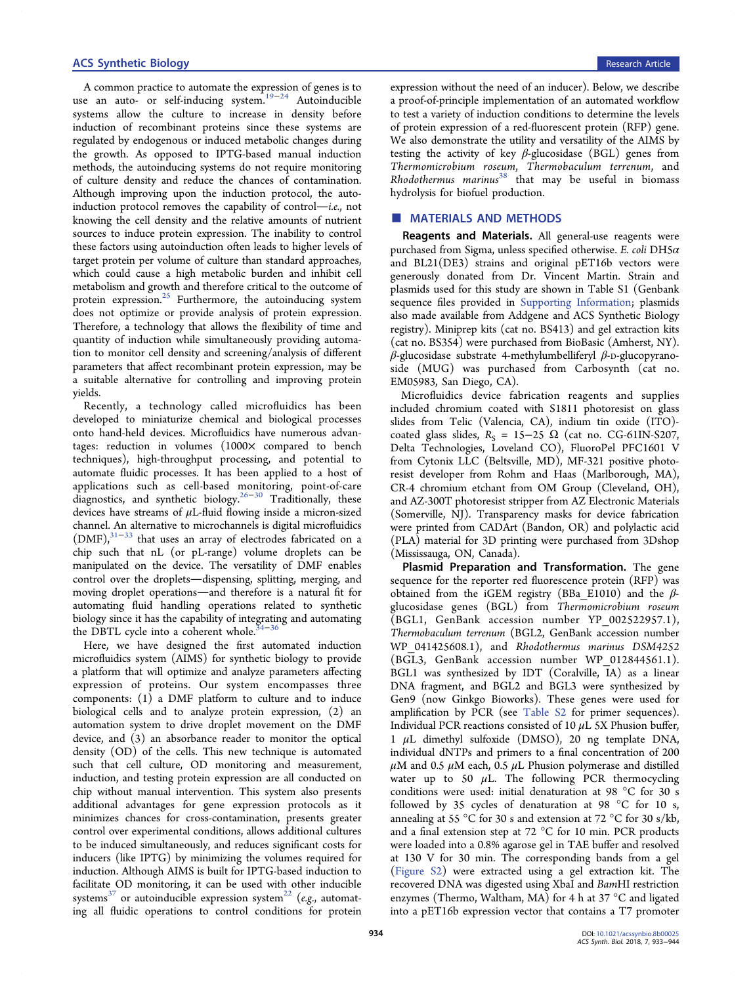<span id="page-1-0"></span>A common practice to automate the expression of genes is to use an auto- or self-inducing system.[19](#page-10-0)−[24](#page-10-0) Autoinducible systems allow the culture to increase in density before induction of recombinant proteins since these systems are regulated by endogenous or induced metabolic changes during the growth. As opposed to IPTG-based manual induction methods, the autoinducing systems do not require monitoring of culture density and reduce the chances of contamination. Although improving upon the induction protocol, the autoinduction protocol removes the capability of control—*i.e.*, not knowing the cell density and the relative amounts of nutrient sources to induce protein expression. The inability to control these factors using autoinduction often leads to higher levels of target protein per volume of culture than standard approaches, which could cause a high metabolic burden and inhibit cell metabolism and growth and therefore critical to the outcome of protein expression.<sup>[25](#page-10-0)</sup> Furthermore, the autoinducing system does not optimize or provide analysis of protein expression. Therefore, a technology that allows the flexibility of time and quantity of induction while simultaneously providing automation to monitor cell density and screening/analysis of different parameters that affect recombinant protein expression, may be a suitable alternative for controlling and improving protein yields.

Recently, a technology called microfluidics has been developed to miniaturize chemical and biological processes onto hand-held devices. Microfluidics have numerous advantages: reduction in volumes (1000× compared to bench techniques), high-throughput processing, and potential to automate fluidic processes. It has been applied to a host of applications such as cell-based monitoring, point-of-care diagnostics, and synthetic biology.[26](#page-10-0)−[30](#page-10-0) Traditionally, these devices have streams of  $\mu$ L-fluid flowing inside a micron-sized channel. An alternative to microchannels is digital microfluidics (DMF),[31](#page-10-0)−[33](#page-10-0) that uses an array of electrodes fabricated on a chip such that nL (or pL-range) volume droplets can be manipulated on the device. The versatility of DMF enables control over the droplets—dispensing, splitting, merging, and moving droplet operations—and therefore is a natural fit for automating fluid handling operations related to synthetic biology since it has the capability of integrating and automating the DBTL cycle into a coherent whole. $34-36$  $34-36$  $34-36$ 

Here, we have designed the first automated induction microfluidics system (AIMS) for synthetic biology to provide a platform that will optimize and analyze parameters affecting expression of proteins. Our system encompasses three components: (1) a DMF platform to culture and to induce biological cells and to analyze protein expression, (2) an automation system to drive droplet movement on the DMF device, and (3) an absorbance reader to monitor the optical density (OD) of the cells. This new technique is automated such that cell culture, OD monitoring and measurement, induction, and testing protein expression are all conducted on chip without manual intervention. This system also presents additional advantages for gene expression protocols as it minimizes chances for cross-contamination, presents greater control over experimental conditions, allows additional cultures to be induced simultaneously, and reduces significant costs for inducers (like IPTG) by minimizing the volumes required for induction. Although AIMS is built for IPTG-based induction to facilitate OD monitoring, it can be used with other inducible systems<sup>[37](#page-10-0)</sup> or autoinducible expression system<sup>[22](#page-10-0)</sup> (e.g., automating all fluidic operations to control conditions for protein

expression without the need of an inducer). Below, we describe a proof-of-principle implementation of an automated workflow to test a variety of induction conditions to determine the levels of protein expression of a red-fluorescent protein (RFP) gene. We also demonstrate the utility and versatility of the AIMS by testing the activity of key  $\beta$ -glucosidase (BGL) genes from Thermomicrobium roseum, Thermobaculum terrenum, and Rhodothermus marinus<sup>[38](#page-10-0)</sup> that may be useful in biomass hydrolysis for biofuel production.

#### ■ MATERIALS AND METHODS

Reagents and Materials. All general-use reagents were purchased from Sigma, unless specified otherwise. E. coli DH5 $\alpha$ and BL21(DE3) strains and original pET16b vectors were generously donated from Dr. Vincent Martin. Strain and plasmids used for this study are shown in Table S1 (Genbank sequence files provided in [Supporting Information;](http://pubs.acs.org/doi/suppl/10.1021/acssynbio.8b00025/suppl_file/sb8b00025_si_003.zip) plasmids also made available from Addgene and ACS Synthetic Biology registry). Miniprep kits (cat no. BS413) and gel extraction kits (cat no. BS354) were purchased from BioBasic (Amherst, NY). β-glucosidase substrate 4-methylumbelliferyl β-D-glucopyranoside (MUG) was purchased from Carbosynth (cat no. EM05983, San Diego, CA).

Microfluidics device fabrication reagents and supplies included chromium coated with S1811 photoresist on glass slides from Telic (Valencia, CA), indium tin oxide (ITO) coated glass slides,  $R_S = 15-25 \Omega$  (cat no. CG-61IN-S207, Delta Technologies, Loveland CO), FluoroPel PFC1601 V from Cytonix LLC (Beltsville, MD), MF-321 positive photoresist developer from Rohm and Haas (Marlborough, MA), CR-4 chromium etchant from OM Group (Cleveland, OH), and AZ-300T photoresist stripper from AZ Electronic Materials (Somerville, NJ). Transparency masks for device fabrication were printed from CADArt (Bandon, OR) and polylactic acid (PLA) material for 3D printing were purchased from 3Dshop (Mississauga, ON, Canada).

Plasmid Preparation and Transformation. The gene sequence for the reporter red fluorescence protein (RFP) was obtained from the iGEM registry (BBa E1010) and the  $\beta$ glucosidase genes (BGL) from Thermomicrobium roseum (BGL1, GenBank accession number YP\_002522957.1), Thermobaculum terrenum (BGL2, GenBank accession number WP\_041425608.1), and Rhodothermus marinus DSM4252 (BGL3, GenBank accession number WP\_012844561.1). BGL1 was synthesized by IDT (Coralville, IA) as a linear DNA fragment, and BGL2 and BGL3 were synthesized by Gen9 (now Ginkgo Bioworks). These genes were used for amplification by PCR (see [Table S2](http://pubs.acs.org/doi/suppl/10.1021/acssynbio.8b00025/suppl_file/sb8b00025_si_001.pdf) for primer sequences). Individual PCR reactions consisted of 10  $\mu$ L 5X Phusion buffer, 1 μL dimethyl sulfoxide (DMSO), 20 ng template DNA, individual dNTPs and primers to a final concentration of 200  $\mu$ M and 0.5  $\mu$ M each, 0.5  $\mu$ L Phusion polymerase and distilled water up to 50  $\mu$ L. The following PCR thermocycling conditions were used: initial denaturation at 98 °C for 30 s followed by 35 cycles of denaturation at 98 °C for 10 s, annealing at 55 °C for 30 s and extension at 72 °C for 30 s/kb, and a final extension step at 72 °C for 10 min. PCR products were loaded into a 0.8% agarose gel in TAE buffer and resolved at 130 V for 30 min. The corresponding bands from a gel [\(Figure S2](http://pubs.acs.org/doi/suppl/10.1021/acssynbio.8b00025/suppl_file/sb8b00025_si_001.pdf)) were extracted using a gel extraction kit. The recovered DNA was digested using XbaI and BamHI restriction enzymes (Thermo, Waltham, MA) for 4 h at 37 °C and ligated into a pET16b expression vector that contains a T7 promoter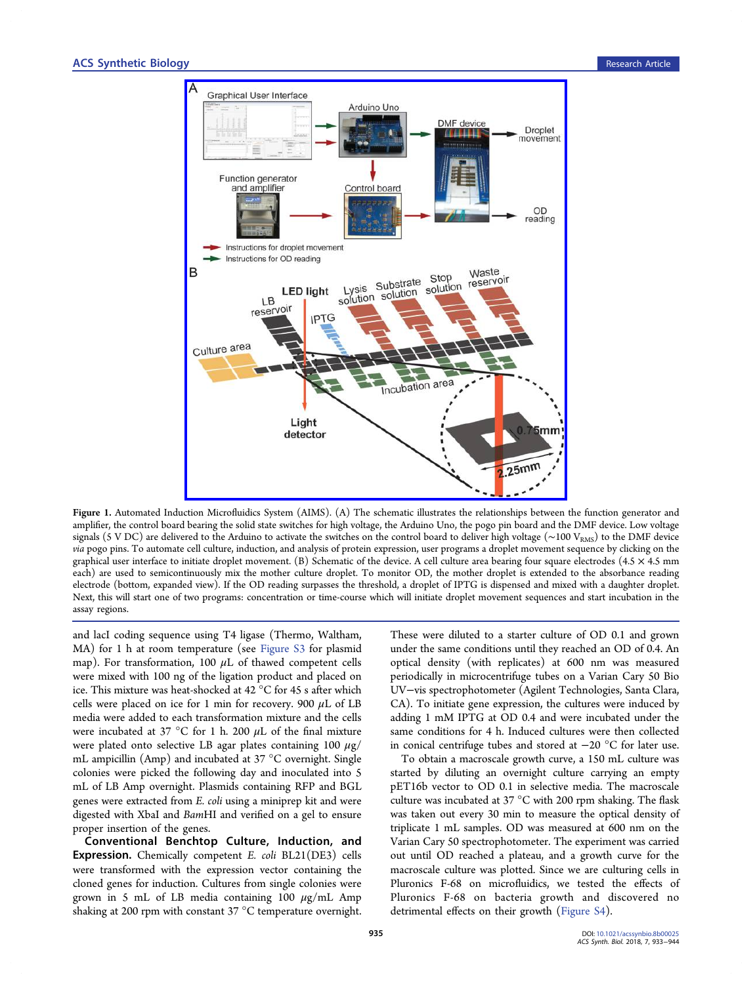<span id="page-2-0"></span>

Figure 1. Automated Induction Microfluidics System (AIMS). (A) The schematic illustrates the relationships between the function generator and amplifier, the control board bearing the solid state switches for high voltage, the Arduino Uno, the pogo pin board and the DMF device. Low voltage signals (5 V DC) are delivered to the Arduino to activate the switches on the control board to deliver high voltage (∼100 V<sub>RMS</sub>) to the DMF device via pogo pins. To automate cell culture, induction, and analysis of protein expression, user programs a droplet movement sequence by clicking on the graphical user interface to initiate droplet movement. (B) Schematic of the device. A cell culture area bearing four square electrodes (4.5 × 4.5 mm each) are used to semicontinuously mix the mother culture droplet. To monitor OD, the mother droplet is extended to the absorbance reading electrode (bottom, expanded view). If the OD reading surpasses the threshold, a droplet of IPTG is dispensed and mixed with a daughter droplet. Next, this will start one of two programs: concentration or time-course which will initiate droplet movement sequences and start incubation in the assay regions.

and lacI coding sequence using T4 ligase (Thermo, Waltham, MA) for 1 h at room temperature (see [Figure S3](http://pubs.acs.org/doi/suppl/10.1021/acssynbio.8b00025/suppl_file/sb8b00025_si_001.pdf) for plasmid map). For transformation, 100  $\mu$ L of thawed competent cells were mixed with 100 ng of the ligation product and placed on ice. This mixture was heat-shocked at 42 °C for 45 s after which cells were placed on ice for 1 min for recovery. 900  $\mu$ L of LB media were added to each transformation mixture and the cells were incubated at 37 °C for 1 h. 200  $\mu$ L of the final mixture were plated onto selective LB agar plates containing 100  $\mu$ g/ mL ampicillin (Amp) and incubated at 37 °C overnight. Single colonies were picked the following day and inoculated into 5 mL of LB Amp overnight. Plasmids containing RFP and BGL genes were extracted from E. coli using a miniprep kit and were digested with XbaI and BamHI and verified on a gel to ensure proper insertion of the genes.

Conventional Benchtop Culture, Induction, and **Expression.** Chemically competent E. coli BL21(DE3) cells were transformed with the expression vector containing the cloned genes for induction. Cultures from single colonies were grown in 5 mL of LB media containing 100  $\mu$ g/mL Amp shaking at 200 rpm with constant 37 °C temperature overnight.

These were diluted to a starter culture of OD 0.1 and grown under the same conditions until they reached an OD of 0.4. An optical density (with replicates) at 600 nm was measured periodically in microcentrifuge tubes on a Varian Cary 50 Bio UV−vis spectrophotometer (Agilent Technologies, Santa Clara, CA). To initiate gene expression, the cultures were induced by adding 1 mM IPTG at OD 0.4 and were incubated under the same conditions for 4 h. Induced cultures were then collected in conical centrifuge tubes and stored at −20 °C for later use.

To obtain a macroscale growth curve, a 150 mL culture was started by diluting an overnight culture carrying an empty pET16b vector to OD 0.1 in selective media. The macroscale culture was incubated at 37 °C with 200 rpm shaking. The flask was taken out every 30 min to measure the optical density of triplicate 1 mL samples. OD was measured at 600 nm on the Varian Cary 50 spectrophotometer. The experiment was carried out until OD reached a plateau, and a growth curve for the macroscale culture was plotted. Since we are culturing cells in Pluronics F-68 on microfluidics, we tested the effects of Pluronics F-68 on bacteria growth and discovered no detrimental effects on their growth [\(Figure S4](http://pubs.acs.org/doi/suppl/10.1021/acssynbio.8b00025/suppl_file/sb8b00025_si_001.pdf)).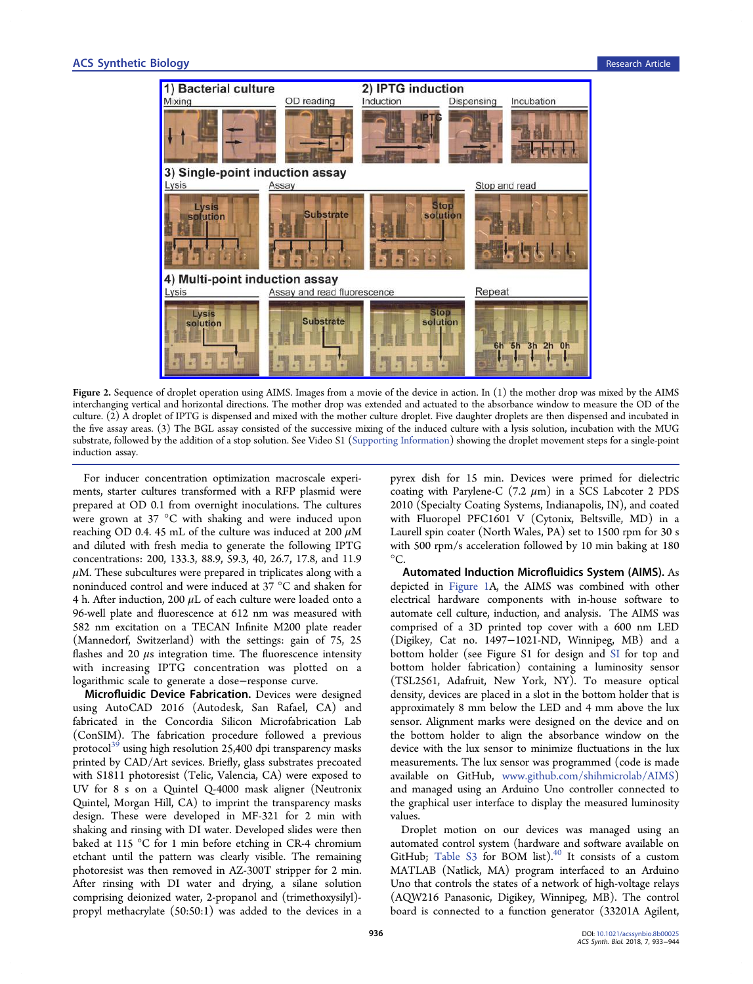<span id="page-3-0"></span>

Figure 2. Sequence of droplet operation using AIMS. Images from a movie of the device in action. In (1) the mother drop was mixed by the AIMS interchanging vertical and horizontal directions. The mother drop was extended and actuated to the absorbance window to measure the OD of the culture. (2) A droplet of IPTG is dispensed and mixed with the mother culture droplet. Five daughter droplets are then dispensed and incubated in the five assay areas. (3) The BGL assay consisted of the successive mixing of the induced culture with a lysis solution, incubation with the MUG substrate, followed by the addition of a stop solution. See Video S1 ([Supporting Information\)](http://pubs.acs.org/doi/suppl/10.1021/acssynbio.8b00025/suppl_file/sb8b00025_si_002.mpg) showing the droplet movement steps for a single-point induction assay.

For inducer concentration optimization macroscale experiments, starter cultures transformed with a RFP plasmid were prepared at OD 0.1 from overnight inoculations. The cultures were grown at 37 °C with shaking and were induced upon reaching OD 0.4. 45 mL of the culture was induced at 200  $\mu$ M and diluted with fresh media to generate the following IPTG concentrations: 200, 133.3, 88.9, 59.3, 40, 26.7, 17.8, and 11.9  $\mu$ M. These subcultures were prepared in triplicates along with a noninduced control and were induced at 37 °C and shaken for 4 h. After induction, 200  $\mu$ L of each culture were loaded onto a 96-well plate and fluorescence at 612 nm was measured with 582 nm excitation on a TECAN Infinite M200 plate reader (Mannedorf, Switzerland) with the settings: gain of 75, 25 flashes and 20  $\mu$ s integration time. The fluorescence intensity with increasing IPTG concentration was plotted on a logarithmic scale to generate a dose−response curve.

Microfluidic Device Fabrication. Devices were designed using AutoCAD 2016 (Autodesk, San Rafael, CA) and fabricated in the Concordia Silicon Microfabrication Lab (ConSIM). The fabrication procedure followed a previous protocol<sup>[39](#page-10-0)</sup> using high resolution 25,400 dpi transparency masks printed by CAD/Art sevices. Briefly, glass substrates precoated with S1811 photoresist (Telic, Valencia, CA) were exposed to UV for 8 s on a Quintel Q-4000 mask aligner (Neutronix Quintel, Morgan Hill, CA) to imprint the transparency masks design. These were developed in MF-321 for 2 min with shaking and rinsing with DI water. Developed slides were then baked at 115 °C for 1 min before etching in CR-4 chromium etchant until the pattern was clearly visible. The remaining photoresist was then removed in AZ-300T stripper for 2 min. After rinsing with DI water and drying, a silane solution comprising deionized water, 2-propanol and (trimethoxysilyl) propyl methacrylate (50:50:1) was added to the devices in a

pyrex dish for 15 min. Devices were primed for dielectric coating with Parylene-C  $(7.2 \mu m)$  in a SCS Labcoter 2 PDS 2010 (Specialty Coating Systems, Indianapolis, IN), and coated with Fluoropel PFC1601 V (Cytonix, Beltsville, MD) in a Laurell spin coater (North Wales, PA) set to 1500 rpm for 30 s with 500 rpm/s acceleration followed by 10 min baking at 180  $^{\circ}C.$ 

Automated Induction Microfluidics System (AIMS). As depicted in [Figure 1A](#page-2-0), the AIMS was combined with other electrical hardware components with in-house software to automate cell culture, induction, and analysis. The AIMS was comprised of a 3D printed top cover with a 600 nm LED (Digikey, Cat no. 1497−1021-ND, Winnipeg, MB) and a bottom holder (see Figure S1 for design and [SI](http://pubs.acs.org/doi/suppl/10.1021/acssynbio.8b00025/suppl_file/sb8b00025_si_001.pdf) for top and bottom holder fabrication) containing a luminosity sensor (TSL2561, Adafruit, New York, NY). To measure optical density, devices are placed in a slot in the bottom holder that is approximately 8 mm below the LED and 4 mm above the lux sensor. Alignment marks were designed on the device and on the bottom holder to align the absorbance window on the device with the lux sensor to minimize fluctuations in the lux measurements. The lux sensor was programmed (code is made available on GitHub, [www.github.com/shihmicrolab/AIMS\)](http://www.github.com/shihmicrolab/AIMS) and managed using an Arduino Uno controller connected to the graphical user interface to display the measured luminosity values.

Droplet motion on our devices was managed using an automated control system (hardware and software available on GitHub; [Table S3](http://pubs.acs.org/doi/suppl/10.1021/acssynbio.8b00025/suppl_file/sb8b00025_si_001.pdf) for BOM list). $40$  It consists of a custom MATLAB (Natlick, MA) program interfaced to an Arduino Uno that controls the states of a network of high-voltage relays (AQW216 Panasonic, Digikey, Winnipeg, MB). The control board is connected to a function generator (33201A Agilent,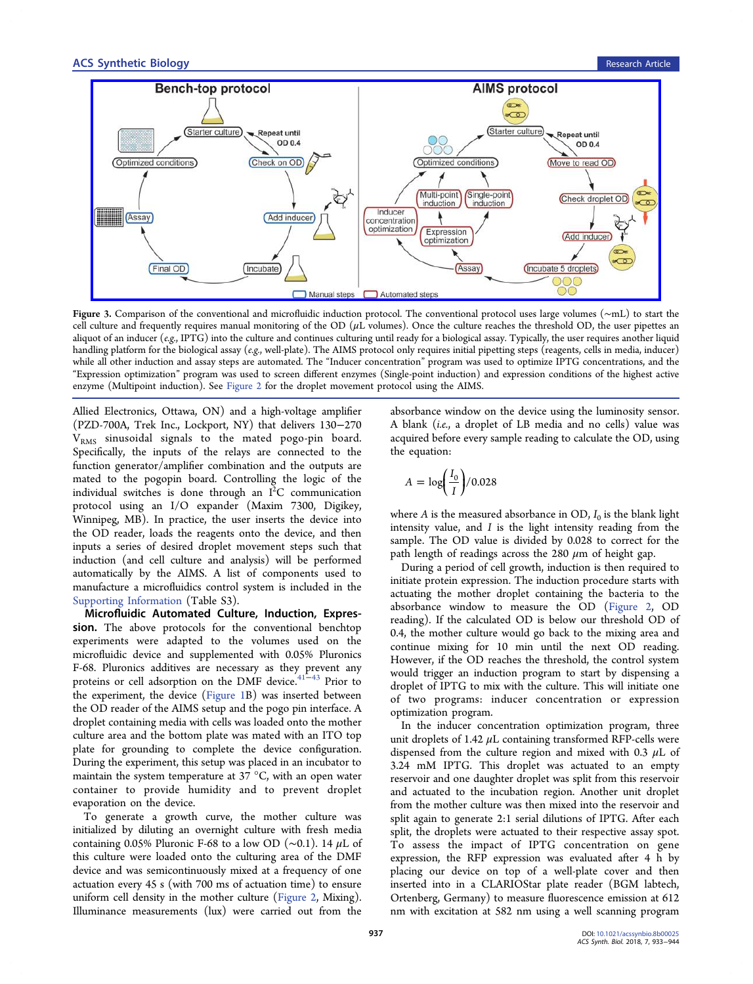### <span id="page-4-0"></span>**ACS Synthetic Biology Research Article Research Article Research Article Research Article Research Article**



Figure 3. Comparison of the conventional and microfluidic induction protocol. The conventional protocol uses large volumes (∼mL) to start the cell culture and frequently requires manual monitoring of the OD ( $\mu$ L volumes). Once the culture reaches the threshold OD, the user pipettes an aliquot of an inducer  $(e.g., IPTG)$  into the culture and continues culturing until ready for a biological assay. Typically, the user requires another liquid handling platform for the biological assay (e.g., well-plate). The AIMS protocol only requires initial pipetting steps (reagents, cells in media, inducer) while all other induction and assay steps are automated. The "Inducer concentration" program was used to optimize IPTG concentrations, and the "Expression optimization" program was used to screen different enzymes (Single-point induction) and expression conditions of the highest active enzyme (Multipoint induction). See [Figure 2](#page-3-0) for the droplet movement protocol using the AIMS.

Allied Electronics, Ottawa, ON) and a high-voltage amplifier (PZD-700A, Trek Inc., Lockport, NY) that delivers 130−270  $V<sub>RMS</sub>$  sinusoidal signals to the mated pogo-pin board. Specifically, the inputs of the relays are connected to the function generator/amplifier combination and the outputs are mated to the pogopin board. Controlling the logic of the individual switches is done through an  $I^2C$  communication protocol using an I/O expander (Maxim 7300, Digikey, Winnipeg, MB). In practice, the user inserts the device into the OD reader, loads the reagents onto the device, and then inputs a series of desired droplet movement steps such that induction (and cell culture and analysis) will be performed automatically by the AIMS. A list of components used to manufacture a microfluidics control system is included in the [Supporting Information](http://pubs.acs.org/doi/suppl/10.1021/acssynbio.8b00025/suppl_file/sb8b00025_si_001.pdf) (Table S3).

Microfluidic Automated Culture, Induction, Expression. The above protocols for the conventional benchtop experiments were adapted to the volumes used on the microfluidic device and supplemented with 0.05% Pluronics F-68. Pluronics additives are necessary as they prevent any proteins or cell adsorption on the DMF device.<sup>[41](#page-10-0)</sup><sup>-[43](#page-10-0)</sup> Prior to the experiment, the device [\(Figure 1](#page-2-0)B) was inserted between the OD reader of the AIMS setup and the pogo pin interface. A droplet containing media with cells was loaded onto the mother culture area and the bottom plate was mated with an ITO top plate for grounding to complete the device configuration. During the experiment, this setup was placed in an incubator to maintain the system temperature at 37 °C, with an open water container to provide humidity and to prevent droplet evaporation on the device.

To generate a growth curve, the mother culture was initialized by diluting an overnight culture with fresh media containing 0.05% Pluronic F-68 to a low OD ( $\sim$ 0.1). 14 µL of this culture were loaded onto the culturing area of the DMF device and was semicontinuously mixed at a frequency of one actuation every 45 s (with 700 ms of actuation time) to ensure uniform cell density in the mother culture ([Figure 2,](#page-3-0) Mixing). Illuminance measurements (lux) were carried out from the

absorbance window on the device using the luminosity sensor. A blank (i.e., a droplet of LB media and no cells) value was acquired before every sample reading to calculate the OD, using the equation:

$$
A = \log\left(\frac{I_0}{I}\right) / 0.028
$$

where A is the measured absorbance in OD,  $I_0$  is the blank light intensity value, and I is the light intensity reading from the sample. The OD value is divided by 0.028 to correct for the path length of readings across the 280  $\mu$ m of height gap.

During a period of cell growth, induction is then required to initiate protein expression. The induction procedure starts with actuating the mother droplet containing the bacteria to the absorbance window to measure the OD ([Figure 2](#page-3-0), OD reading). If the calculated OD is below our threshold OD of 0.4, the mother culture would go back to the mixing area and continue mixing for 10 min until the next OD reading. However, if the OD reaches the threshold, the control system would trigger an induction program to start by dispensing a droplet of IPTG to mix with the culture. This will initiate one of two programs: inducer concentration or expression optimization program.

In the inducer concentration optimization program, three unit droplets of 1.42  $\mu$ L containing transformed RFP-cells were dispensed from the culture region and mixed with 0.3  $\mu$ L of 3.24 mM IPTG. This droplet was actuated to an empty reservoir and one daughter droplet was split from this reservoir and actuated to the incubation region. Another unit droplet from the mother culture was then mixed into the reservoir and split again to generate 2:1 serial dilutions of IPTG. After each split, the droplets were actuated to their respective assay spot. To assess the impact of IPTG concentration on gene expression, the RFP expression was evaluated after 4 h by placing our device on top of a well-plate cover and then inserted into in a CLARIOStar plate reader (BGM labtech, Ortenberg, Germany) to measure fluorescence emission at 612 nm with excitation at 582 nm using a well scanning program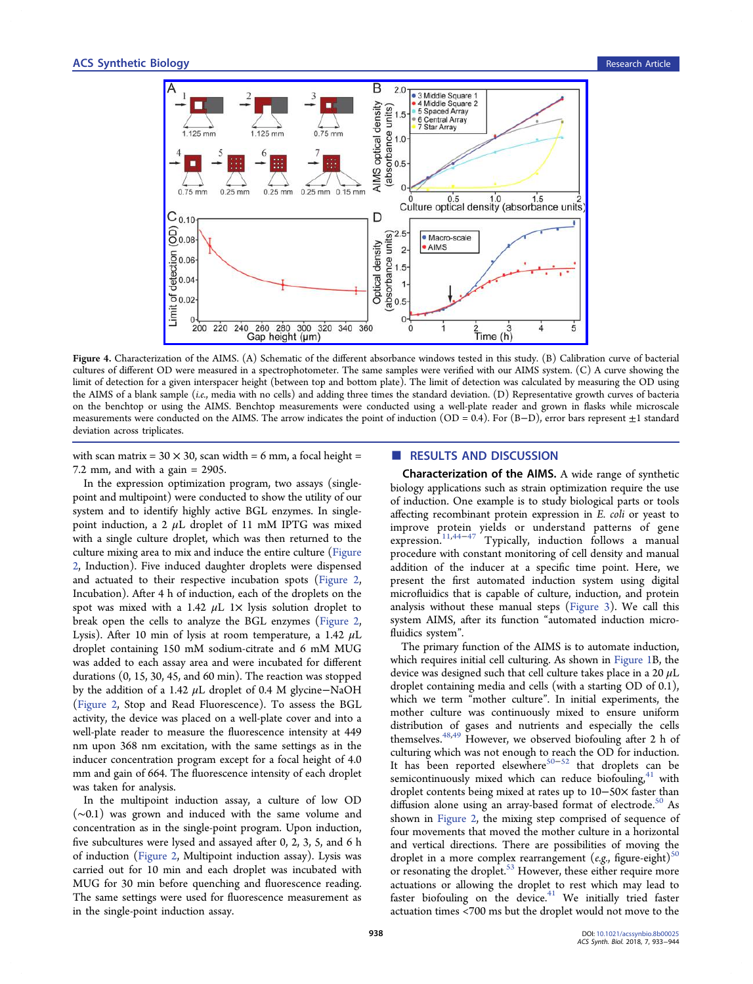<span id="page-5-0"></span>

Figure 4. Characterization of the AIMS. (A) Schematic of the different absorbance windows tested in this study. (B) Calibration curve of bacterial cultures of different OD were measured in a spectrophotometer. The same samples were verified with our AIMS system. (C) A curve showing the limit of detection for a given interspacer height (between top and bottom plate). The limit of detection was calculated by measuring the OD using the AIMS of a blank sample (i.e., media with no cells) and adding three times the standard deviation. (D) Representative growth curves of bacteria on the benchtop or using the AIMS. Benchtop measurements were conducted using a well-plate reader and grown in flasks while microscale measurements were conducted on the AIMS. The arrow indicates the point of induction (OD = 0.4). For (B-D), error bars represent ±1 standard deviation across triplicates.

with scan matrix =  $30 \times 30$ , scan width = 6 mm, a focal height = 7.2 mm, and with a gain  $= 2905$ .

In the expression optimization program, two assays (singlepoint and multipoint) were conducted to show the utility of our system and to identify highly active BGL enzymes. In singlepoint induction, a 2  $\mu$ L droplet of 11 mM IPTG was mixed with a single culture droplet, which was then returned to the culture mixing area to mix and induce the entire culture [\(Figure](#page-3-0) [2](#page-3-0), Induction). Five induced daughter droplets were dispensed and actuated to their respective incubation spots ([Figure 2](#page-3-0), Incubation). After 4 h of induction, each of the droplets on the spot was mixed with a 1.42  $\mu$ L 1× lysis solution droplet to break open the cells to analyze the BGL enzymes ([Figure 2](#page-3-0), Lysis). After 10 min of lysis at room temperature, a 1.42  $\mu$ L droplet containing 150 mM sodium-citrate and 6 mM MUG was added to each assay area and were incubated for different durations (0, 15, 30, 45, and 60 min). The reaction was stopped by the addition of a 1.42 μL droplet of 0.4 M glycine−NaOH [\(Figure 2](#page-3-0), Stop and Read Fluorescence). To assess the BGL activity, the device was placed on a well-plate cover and into a well-plate reader to measure the fluorescence intensity at 449 nm upon 368 nm excitation, with the same settings as in the inducer concentration program except for a focal height of 4.0 mm and gain of 664. The fluorescence intensity of each droplet was taken for analysis.

In the multipoint induction assay, a culture of low OD (∼0.1) was grown and induced with the same volume and concentration as in the single-point program. Upon induction, five subcultures were lysed and assayed after 0, 2, 3, 5, and 6 h of induction ([Figure 2](#page-3-0), Multipoint induction assay). Lysis was carried out for 10 min and each droplet was incubated with MUG for 30 min before quenching and fluorescence reading. The same settings were used for fluorescence measurement as in the single-point induction assay.

#### ■ RESULTS AND DISCUSSION

Characterization of the AIMS. A wide range of synthetic biology applications such as strain optimization require the use of induction. One example is to study biological parts or tools affecting recombinant protein expression in E. coli or yeast to improve protein yields or understand patterns of gene expression.<sup>[11,](#page-9-0)[44](#page-10-0)–[47](#page-10-0)</sup> Typically, induction follows a manual procedure with constant monitoring of cell density and manual addition of the inducer at a specific time point. Here, we present the first automated induction system using digital microfluidics that is capable of culture, induction, and protein analysis without these manual steps ([Figure 3\)](#page-4-0). We call this system AIMS, after its function "automated induction microfluidics system".

The primary function of the AIMS is to automate induction, which requires initial cell culturing. As shown in [Figure 1B](#page-2-0), the device was designed such that cell culture takes place in a 20  $\mu$ L droplet containing media and cells (with a starting OD of 0.1), which we term "mother culture". In initial experiments, the mother culture was continuously mixed to ensure uniform distribution of gases and nutrients and especially the cells themselves.<sup>[48,49](#page-10-0)</sup> However, we observed biofouling after 2 h of culturing which was not enough to reach the OD for induction. It has been reported elsewhere<sup>[50](#page-10-0)−[52](#page-10-0)</sup> that droplets can be semicontinuously mixed which can reduce biofouling, $41$  with droplet contents being mixed at rates up to 10−50× faster than diffusion alone using an array-based format of electrode.<sup>[50](#page-10-0)</sup> As shown in [Figure 2,](#page-3-0) the mixing step comprised of sequence of four movements that moved the mother culture in a horizontal and vertical directions. There are possibilities of moving the droplet in a more complex rearrangement (e.g., figure-eight) $^{50}$  $^{50}$  $^{50}$ or resonating the droplet.<sup>[53](#page-10-0)</sup> However, these either require more actuations or allowing the droplet to rest which may lead to faster biofouling on the device. $41$  We initially tried faster actuation times <700 ms but the droplet would not move to the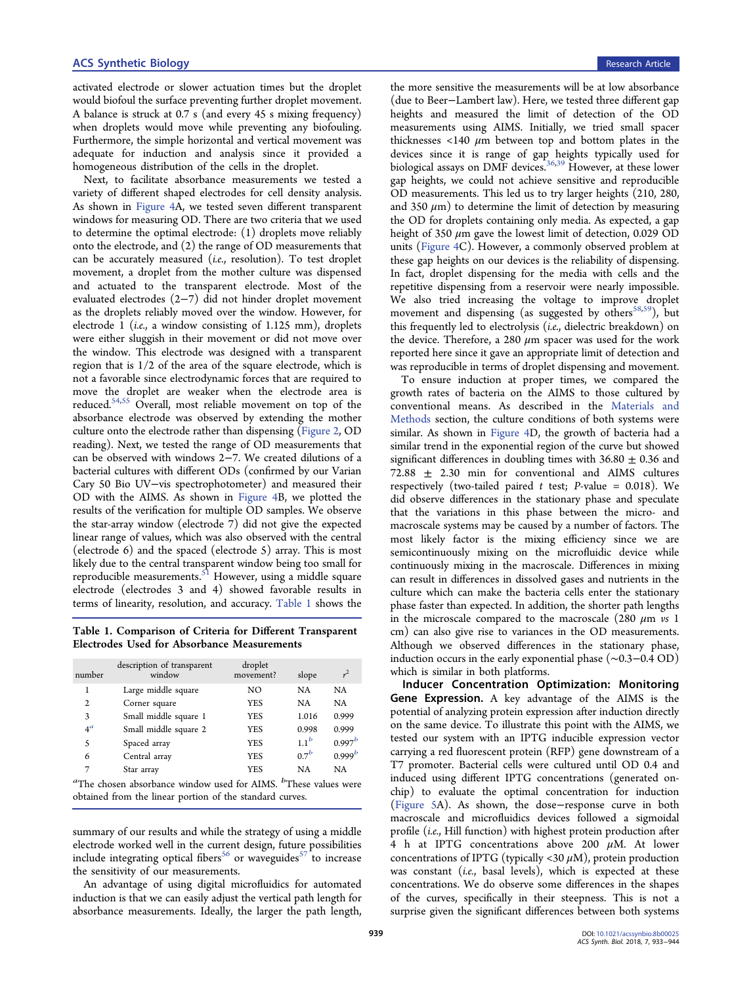activated electrode or slower actuation times but the droplet would biofoul the surface preventing further droplet movement. A balance is struck at 0.7 s (and every 45 s mixing frequency) when droplets would move while preventing any biofouling. Furthermore, the simple horizontal and vertical movement was adequate for induction and analysis since it provided a homogeneous distribution of the cells in the droplet.

Next, to facilitate absorbance measurements we tested a variety of different shaped electrodes for cell density analysis. As shown in [Figure 4A](#page-5-0), we tested seven different transparent windows for measuring OD. There are two criteria that we used to determine the optimal electrode: (1) droplets move reliably onto the electrode, and (2) the range of OD measurements that can be accurately measured (i.e., resolution). To test droplet movement, a droplet from the mother culture was dispensed and actuated to the transparent electrode. Most of the evaluated electrodes (2−7) did not hinder droplet movement as the droplets reliably moved over the window. However, for electrode  $1$  (i.e., a window consisting of 1.125 mm), droplets were either sluggish in their movement or did not move over the window. This electrode was designed with a transparent region that is 1/2 of the area of the square electrode, which is not a favorable since electrodynamic forces that are required to move the droplet are weaker when the electrode area is reduced.[54,55](#page-10-0) Overall, most reliable movement on top of the absorbance electrode was observed by extending the mother culture onto the electrode rather than dispensing [\(Figure 2,](#page-3-0) OD reading). Next, we tested the range of OD measurements that can be observed with windows 2−7. We created dilutions of a bacterial cultures with different ODs (confirmed by our Varian Cary 50 Bio UV−vis spectrophotometer) and measured their OD with the AIMS. As shown in [Figure 4B](#page-5-0), we plotted the results of the verification for multiple OD samples. We observe the star-array window (electrode 7) did not give the expected linear range of values, which was also observed with the central (electrode 6) and the spaced (electrode 5) array. This is most likely due to the central transparent window being too small for reproducible measurements.<sup>[51](#page-10-0)</sup> However, using a middle square electrode (electrodes 3 and 4) showed favorable results in terms of linearity, resolution, and accuracy. Table 1 shows the

Table 1. Comparison of Criteria for Different Transparent Electrodes Used for Absorbance Measurements

| number | description of transparent<br>window | droplet<br>movement? | slope            | $\mathcal{L}$ |
|--------|--------------------------------------|----------------------|------------------|---------------|
| 1      | Large middle square                  | NO.                  | <b>NA</b>        | NA            |
| 2      | Corner square                        | YES                  | NA               | NA            |
| 3      | Small middle square 1                | <b>YES</b>           | 1.016            | 0.999         |
| $4^a$  | Small middle square 2                | YES                  | 0.998            | 0.999         |
| 5      | Spaced array                         | YES                  | $1.1^b$          | $0.997^b$     |
| 6      | Central array                        | YES                  | 0.7 <sup>b</sup> | $0.999^b$     |
|        | Star array                           | YES<br>$\mathbf{r}$  | <b>NA</b>        | NA            |

 ${}^a\!{\rm The}$  chosen absorbance window used for AIMS.  ${}^b{\rm The}$ se values were obtained from the linear portion of the standard curves.

summary of our results and while the strategy of using a middle electrode worked well in the current design, future possibilities include integrating optical fibers<sup>56</sup> or waveguides<sup>[57](#page-11-0)</sup> to increase the sensitivity of our measurements.

An advantage of using digital microfluidics for automated induction is that we can easily adjust the vertical path length for absorbance measurements. Ideally, the larger the path length,

the more sensitive the measurements will be at low absorbance (due to Beer−Lambert law). Here, we tested three different gap heights and measured the limit of detection of the OD measurements using AIMS. Initially, we tried small spacer thicknesses  $\langle 140 \mu m \rangle$  between top and bottom plates in the devices since it is range of gap heights typically used for biological assays on DMF devices.<sup>[36](#page-10-0),[39](#page-10-0)</sup> However, at these lower gap heights, we could not achieve sensitive and reproducible OD measurements. This led us to try larger heights (210, 280, and 350  $\mu$ m) to determine the limit of detection by measuring the OD for droplets containing only media. As expected, a gap height of 350 μm gave the lowest limit of detection, 0.029 OD units ([Figure 4](#page-5-0)C). However, a commonly observed problem at these gap heights on our devices is the reliability of dispensing. In fact, droplet dispensing for the media with cells and the repetitive dispensing from a reservoir were nearly impossible. We also tried increasing the voltage to improve droplet movement and dispensing (as suggested by others $58,59$  $58,59$ ), but this frequently led to electrolysis (i.e., dielectric breakdown) on the device. Therefore, a 280  $\mu$ m spacer was used for the work reported here since it gave an appropriate limit of detection and was reproducible in terms of droplet dispensing and movement.

To ensure induction at proper times, we compared the growth rates of bacteria on the AIMS to those cultured by conventional means. As described in the [Materials and](#page-1-0) [Methods](#page-1-0) section, the culture conditions of both systems were similar. As shown in [Figure 4](#page-5-0)D, the growth of bacteria had a similar trend in the exponential region of the curve but showed significant differences in doubling times with  $36.80 \pm 0.36$  and 72.88 ± 2.30 min for conventional and AIMS cultures respectively (two-tailed paired  $t$  test; P-value = 0.018). We did observe differences in the stationary phase and speculate that the variations in this phase between the micro- and macroscale systems may be caused by a number of factors. The most likely factor is the mixing efficiency since we are semicontinuously mixing on the microfluidic device while continuously mixing in the macroscale. Differences in mixing can result in differences in dissolved gases and nutrients in the culture which can make the bacteria cells enter the stationary phase faster than expected. In addition, the shorter path lengths in the microscale compared to the macroscale (280  $\mu$ m *vs* 1 cm) can also give rise to variances in the OD measurements. Although we observed differences in the stationary phase, induction occurs in the early exponential phase (∼0.3−0.4 OD) which is similar in both platforms.

Inducer Concentration Optimization: Monitoring Gene Expression. A key advantage of the AIMS is the potential of analyzing protein expression after induction directly on the same device. To illustrate this point with the AIMS, we tested our system with an IPTG inducible expression vector carrying a red fluorescent protein (RFP) gene downstream of a T7 promoter. Bacterial cells were cultured until OD 0.4 and induced using different IPTG concentrations (generated onchip) to evaluate the optimal concentration for induction [\(Figure 5A](#page-7-0)). As shown, the dose−response curve in both macroscale and microfluidics devices followed a sigmoidal profile (i.e., Hill function) with highest protein production after 4 h at IPTG concentrations above 200  $\mu$ M. At lower concentrations of IPTG (typically <30  $\mu$ M), protein production was constant (i.e., basal levels), which is expected at these concentrations. We do observe some differences in the shapes of the curves, specifically in their steepness. This is not a surprise given the significant differences between both systems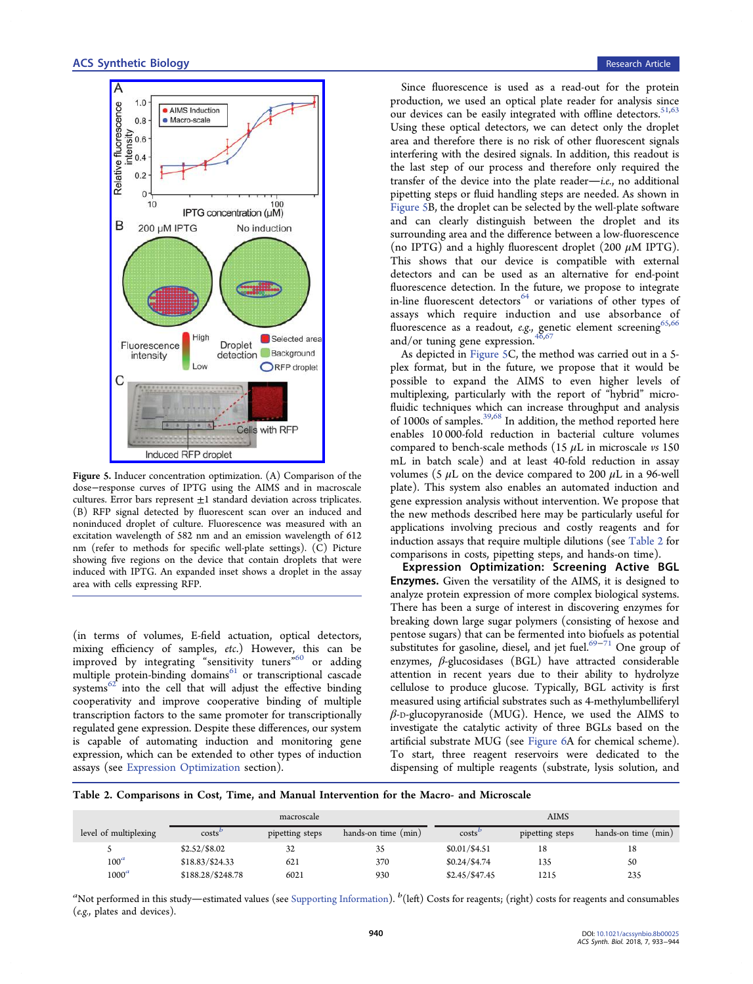<span id="page-7-0"></span>

Figure 5. Inducer concentration optimization. (A) Comparison of the dose−response curves of IPTG using the AIMS and in macroscale cultures. Error bars represent  $\pm 1$  standard deviation across triplicates. (B) RFP signal detected by fluorescent scan over an induced and noninduced droplet of culture. Fluorescence was measured with an excitation wavelength of 582 nm and an emission wavelength of 612 nm (refer to methods for specific well-plate settings). (C) Picture showing five regions on the device that contain droplets that were induced with IPTG. An expanded inset shows a droplet in the assay area with cells expressing RFP.

(in terms of volumes, E-field actuation, optical detectors, mixing efficiency of samples, etc.) However, this can be improved by integrating "sensitivity tuners" [60](#page-11-0) or adding multiple protein-binding domains  $61$  or transcriptional cascade systems<sup>[62](#page-11-0)</sup> into the cell that will adjust the effective binding cooperativity and improve cooperative binding of multiple transcription factors to the same promoter for transcriptionally regulated gene expression. Despite these differences, our system is capable of automating induction and monitoring gene expression, which can be extended to other types of induction assays (see Expression Optimization section).

Since fluorescence is used as a read-out for the protein production, we used an optical plate reader for analysis since our devices can be easily integrated with offline detectors.<sup>[51](#page-10-0)[,63](#page-11-0)</sup> Using these optical detectors, we can detect only the droplet area and therefore there is no risk of other fluorescent signals interfering with the desired signals. In addition, this readout is the last step of our process and therefore only required the transfer of the device into the plate reader-i.e., no additional pipetting steps or fluid handling steps are needed. As shown in Figure 5B, the droplet can be selected by the well-plate software and can clearly distinguish between the droplet and its surrounding area and the difference between a low-fluorescence (no IPTG) and a highly fluorescent droplet (200  $\mu$ M IPTG). This shows that our device is compatible with external detectors and can be used as an alternative for end-point fluorescence detection. In the future, we propose to integrate in-line fluorescent detectors<sup>[64](#page-11-0)</sup> or variations of other types of assays which require induction and use absorbance of fluorescence as a readout, e.g., genetic element screening<sup>[65,66](#page-11-0)</sup> and/or tuning gene expression. $\dot{a}$ 

As depicted in Figure 5C, the method was carried out in a 5 plex format, but in the future, we propose that it would be possible to expand the AIMS to even higher levels of multiplexing, particularly with the report of "hybrid" microfluidic techniques which can increase throughput and analysis of 1000s of samples.[39](#page-10-0),[68](#page-11-0) In addition, the method reported here enables 10 000-fold reduction in bacterial culture volumes compared to bench-scale methods (15  $\mu$ L in microscale vs 150 mL in batch scale) and at least 40-fold reduction in assay volumes (5  $\mu$ L on the device compared to 200  $\mu$ L in a 96-well plate). This system also enables an automated induction and gene expression analysis without intervention. We propose that the new methods described here may be particularly useful for applications involving precious and costly reagents and for induction assays that require multiple dilutions (see Table 2 for comparisons in costs, pipetting steps, and hands-on time).

Expression Optimization: Screening Active BGL Enzymes. Given the versatility of the AIMS, it is designed to analyze protein expression of more complex biological systems. There has been a surge of interest in discovering enzymes for breaking down large sugar polymers (consisting of hexose and pentose sugars) that can be fermented into biofuels as potential substitutes for gasoline, diesel, and jet fuel.<sup>[69](#page-11-0)−[71](#page-11-0)</sup> One group of enzymes, β-glucosidases (BGL) have attracted considerable attention in recent years due to their ability to hydrolyze cellulose to produce glucose. Typically, BGL activity is first measured using artificial substrates such as 4-methylumbelliferyl  $\beta$ -D-glucopyranoside (MUG). Hence, we used the AIMS to investigate the catalytic activity of three BGLs based on the artificial substrate MUG (see [Figure 6A](#page-8-0) for chemical scheme). To start, three reagent reservoirs were dedicated to the dispensing of multiple reagents (substrate, lysis solution, and

Table 2. Comparisons in Cost, Time, and Manual Intervention for the Macro- and Microscale

|                       | macroscale         |                 |                     | <b>AIMS</b>              |                 |                     |
|-----------------------|--------------------|-----------------|---------------------|--------------------------|-----------------|---------------------|
| level of multiplexing | costs <sup>'</sup> | pipetting steps | hands-on time (min) | costs                    | pipetting steps | hands-on time (min) |
|                       | $$2.52$ /\$8.02    | 32              | 35                  | \$0.01/ <sub>54.51</sub> | 18              | 18                  |
| $100^a$               | $$18.83$ /\$24.33  | 621             | 370                 | $$0.24$ /\$4.74          | 135             | 50                  |
| $1000^a$              | \$188.28/\$248.78  | 6021            | 930                 | $$2.45$ /\$47.45         | 1215            | 235                 |

 ${}^a$ Not performed in this study—estimated values (see [Supporting Information\)](http://pubs.acs.org/doi/suppl/10.1021/acssynbio.8b00025/suppl_file/sb8b00025_si_001.pdf).  ${}^b$ (left) Costs for reagents; (right) costs for reagents and consumables (e.g., plates and devices).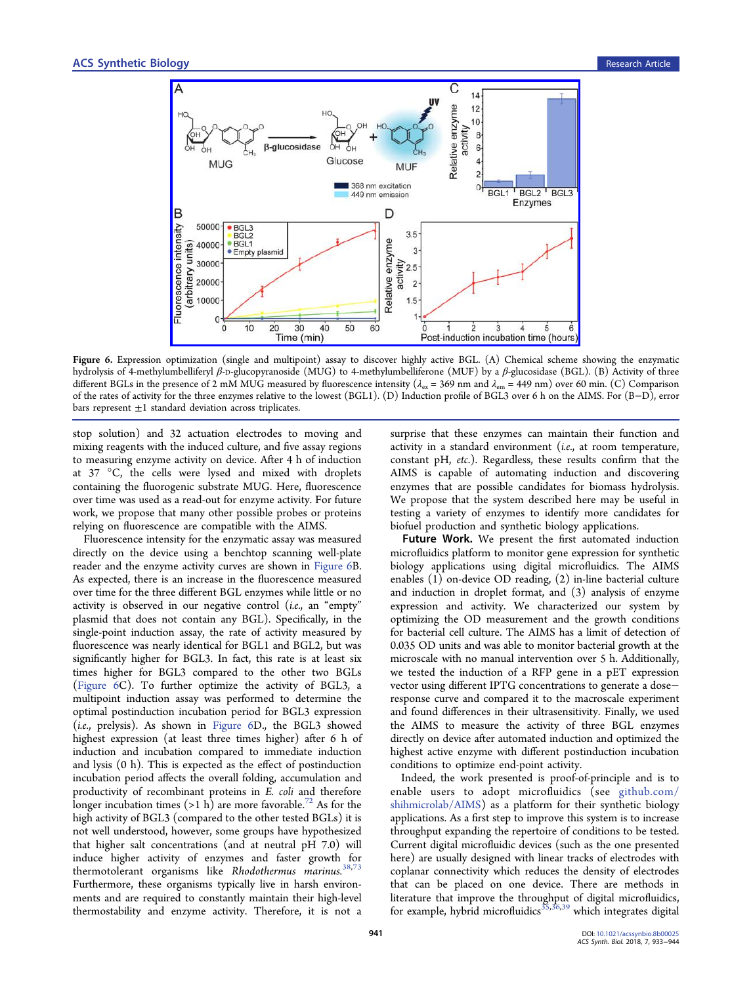<span id="page-8-0"></span>

Figure 6. Expression optimization (single and multipoint) assay to discover highly active BGL. (A) Chemical scheme showing the enzymatic hydrolysis of 4-methylumbelliferyl β-D-glucopyranoside (MUG) to 4-methylumbelliferone (MUF) by a β-glucosidase (BGL). (B) Activity of three different BGLs in the presence of 2 mM MUG measured by fluorescence intensity ( $\lambda_{\text{ex}}$  = 369 nm and  $\lambda_{\text{em}}$  = 449 nm) over 60 min. (C) Comparison of the rates of activity for the three enzymes relative to the lowest (BGL1). (D) Induction profile of BGL3 over 6 h on the AIMS. For (B−D), error bars represent  $\pm 1$  standard deviation across triplicates.

stop solution) and 32 actuation electrodes to moving and mixing reagents with the induced culture, and five assay regions to measuring enzyme activity on device. After 4 h of induction at 37 °C, the cells were lysed and mixed with droplets containing the fluorogenic substrate MUG. Here, fluorescence over time was used as a read-out for enzyme activity. For future work, we propose that many other possible probes or proteins relying on fluorescence are compatible with the AIMS.

Fluorescence intensity for the enzymatic assay was measured directly on the device using a benchtop scanning well-plate reader and the enzyme activity curves are shown in Figure 6B. As expected, there is an increase in the fluorescence measured over time for the three different BGL enzymes while little or no activity is observed in our negative control (i.e., an "empty" plasmid that does not contain any BGL). Specifically, in the single-point induction assay, the rate of activity measured by fluorescence was nearly identical for BGL1 and BGL2, but was significantly higher for BGL3. In fact, this rate is at least six times higher for BGL3 compared to the other two BGLs (Figure 6C). To further optimize the activity of BGL3, a multipoint induction assay was performed to determine the optimal postinduction incubation period for BGL3 expression (i.e., prelysis). As shown in Figure 6D., the BGL3 showed highest expression (at least three times higher) after 6 h of induction and incubation compared to immediate induction and lysis (0 h). This is expected as the effect of postinduction incubation period affects the overall folding, accumulation and productivity of recombinant proteins in E. coli and therefore longer incubation times (>1 h) are more favorable.<sup>[72](#page-11-0)</sup> As for the high activity of BGL3 (compared to the other tested BGLs) it is not well understood, however, some groups have hypothesized that higher salt concentrations (and at neutral pH 7.0) will induce higher activity of enzymes and faster growth for thermotolerant organisms like Rhodothermus marinus.<sup>[38,](#page-10-0)[73](#page-11-0)</sup> Furthermore, these organisms typically live in harsh environments and are required to constantly maintain their high-level thermostability and enzyme activity. Therefore, it is not a

surprise that these enzymes can maintain their function and activity in a standard environment *(i.e.*, at room temperature, constant pH, etc.). Regardless, these results confirm that the AIMS is capable of automating induction and discovering enzymes that are possible candidates for biomass hydrolysis. We propose that the system described here may be useful in testing a variety of enzymes to identify more candidates for biofuel production and synthetic biology applications.

Future Work. We present the first automated induction microfluidics platform to monitor gene expression for synthetic biology applications using digital microfluidics. The AIMS enables (1) on-device OD reading, (2) in-line bacterial culture and induction in droplet format, and (3) analysis of enzyme expression and activity. We characterized our system by optimizing the OD measurement and the growth conditions for bacterial cell culture. The AIMS has a limit of detection of 0.035 OD units and was able to monitor bacterial growth at the microscale with no manual intervention over 5 h. Additionally, we tested the induction of a RFP gene in a pET expression vector using different IPTG concentrations to generate a dose− response curve and compared it to the macroscale experiment and found differences in their ultrasensitivity. Finally, we used the AIMS to measure the activity of three BGL enzymes directly on device after automated induction and optimized the highest active enzyme with different postinduction incubation conditions to optimize end-point activity.

Indeed, the work presented is proof-of-principle and is to enable users to adopt microfluidics (see [github.com/](http://github.com/shihmicrolab/AIMS) [shihmicrolab/AIMS\)](http://github.com/shihmicrolab/AIMS) as a platform for their synthetic biology applications. As a first step to improve this system is to increase throughput expanding the repertoire of conditions to be tested. Current digital microfluidic devices (such as the one presented here) are usually designed with linear tracks of electrodes with coplanar connectivity which reduces the density of electrodes that can be placed on one device. There are methods in literature that improve the throughput of digital microfluidics, for example, hybrid microfluidics $^{35,36,39}$  $^{35,36,39}$  $^{35,36,39}$  $^{35,36,39}$  $^{35,36,39}$  which integrates digital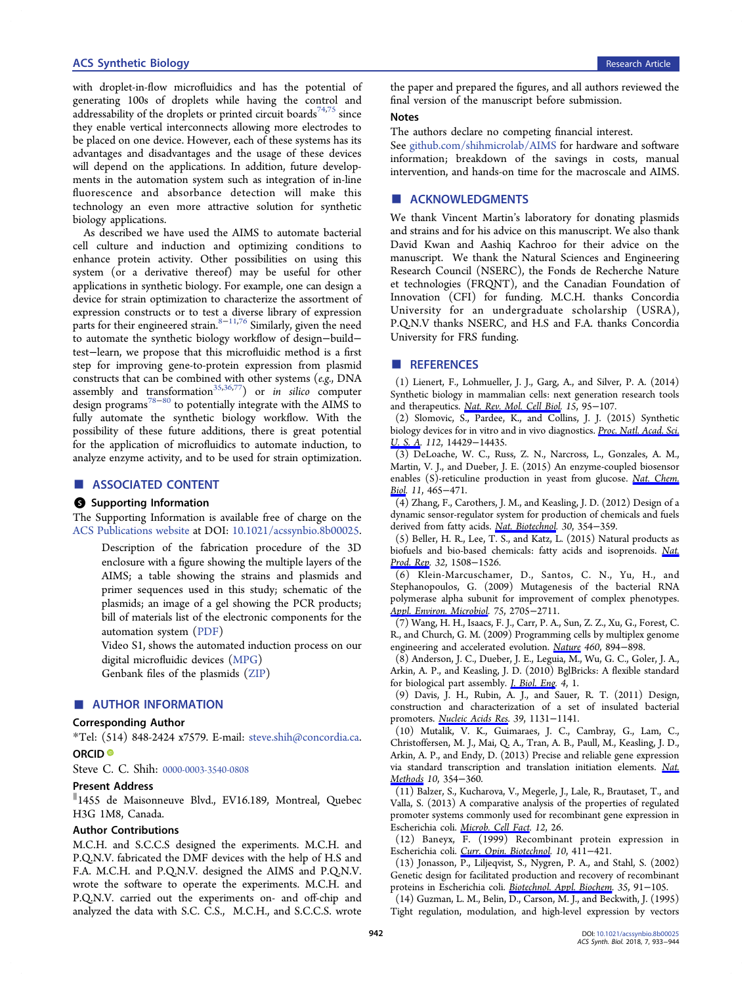#### <span id="page-9-0"></span>**ACS Synthetic Biology Research Article Research Article Research Article Research Article Research Article**

with droplet-in-flow microfluidics and has the potential of generating 100s of droplets while having the control and addressability of the droplets or printed circuit boards<sup>[74,75](#page-11-0)</sup> since they enable vertical interconnects allowing more electrodes to be placed on one device. However, each of these systems has its advantages and disadvantages and the usage of these devices will depend on the applications. In addition, future developments in the automation system such as integration of in-line fluorescence and absorbance detection will make this technology an even more attractive solution for synthetic biology applications.

As described we have used the AIMS to automate bacterial cell culture and induction and optimizing conditions to enhance protein activity. Other possibilities on using this system (or a derivative thereof) may be useful for other applications in synthetic biology. For example, one can design a device for strain optimization to characterize the assortment of expression constructs or to test a diverse library of expression  $\mathbf{p}$ arts for their engineered strain. $^{8-11,76}$  $^{8-11,76}$  $^{8-11,76}$  Similarly, given the need to automate the synthetic biology workflow of design−build− test−learn, we propose that this microfluidic method is a first step for improving gene-to-protein expression from plasmid constructs that can be combined with other systems (e.g., DNA assembly and transformation<sup>[35](#page-10-0),[36](#page-10-0)[,77](#page-11-0)</sup>) or *in silico* computer design programs<sup>[78](#page-11-0)−[80](#page-11-0)</sup> to potentially integrate with the AIMS to fully automate the synthetic biology workflow. With the possibility of these future additions, there is great potential for the application of microfluidics to automate induction, to analyze enzyme activity, and to be used for strain optimization.

#### ■ ASSOCIATED CONTENT

#### **6** Supporting Information

The Supporting Information is available free of charge on the [ACS Publications website](http://pubs.acs.org) at DOI: [10.1021/acssynbio.8b00025](http://pubs.acs.org/doi/abs/10.1021/acssynbio.8b00025).

Description of the fabrication procedure of the 3D enclosure with a figure showing the multiple layers of the AIMS; a table showing the strains and plasmids and primer sequences used in this study; schematic of the plasmids; an image of a gel showing the PCR products; bill of materials list of the electronic components for the automation system ([PDF\)](http://pubs.acs.org/doi/suppl/10.1021/acssynbio.8b00025/suppl_file/sb8b00025_si_001.pdf)

Video S1, shows the automated induction process on our digital microfluidic devices [\(MPG](http://pubs.acs.org/doi/suppl/10.1021/acssynbio.8b00025/suppl_file/sb8b00025_si_002.mpg))

Genbank files of the plasmids [\(ZIP\)](http://pubs.acs.org/doi/suppl/10.1021/acssynbio.8b00025/suppl_file/sb8b00025_si_003.zip)

#### ■ AUTHOR INFORMATION

#### Corresponding Author

\*Tel: (514) 848-2424 x7579. E-mail: [steve.shih@concordia.ca](mailto:steve.shih@concordia.ca). ORCID<sup>®</sup>

Steve C. C. Shih: [0000-0003-3540-0808](http://orcid.org/0000-0003-3540-0808)

#### Present Address

∥ 1455 de Maisonneuve Blvd., EV16.189, Montreal, Quebec H3G 1M8, Canada.

#### Author Contributions

M.C.H. and S.C.C.S designed the experiments. M.C.H. and P.Q.N.V. fabricated the DMF devices with the help of H.S and F.A. M.C.H. and P.Q.N.V. designed the AIMS and P.Q.N.V. wrote the software to operate the experiments. M.C.H. and P.Q.N.V. carried out the experiments on- and off-chip and analyzed the data with S.C. C.S., M.C.H., and S.C.C.S. wrote the paper and prepared the figures, and all authors reviewed the final version of the manuscript before submission.

#### Notes

The authors declare no competing financial interest.

See [github.com/shihmicrolab/AIMS](http://github.com/shihmicrolab/AIMS) for hardware and software information; breakdown of the savings in costs, manual intervention, and hands-on time for the macroscale and AIMS.

### ■ ACKNOWLEDGMENTS

We thank Vincent Martin's laboratory for donating plasmids and strains and for his advice on this manuscript. We also thank David Kwan and Aashiq Kachroo for their advice on the manuscript. We thank the Natural Sciences and Engineering Research Council (NSERC), the Fonds de Recherche Nature et technologies (FRQNT), and the Canadian Foundation of Innovation (CFI) for funding. M.C.H. thanks Concordia University for an undergraduate scholarship (USRA), P.Q.N.V thanks NSERC, and H.S and F.A. thanks Concordia University for FRS funding.

#### ■ REFERENCES

(1) Lienert, F., Lohmueller, J. J., Garg, A., and Silver, P. A. (2014) Synthetic biology in mammalian cells: next generation research tools and therapeutics. [Nat. Rev. Mol. Cell Biol.](http://pubs.acs.org/action/showLinks?pmid=24434884&crossref=10.1038%2Fnrm3738&coi=1%3ACAS%3A528%3ADC%252BC2cXotFyhuw%253D%253D&citationId=p_n_1_1) 15, 95−107.

(2) Slomovic, S., Pardee, K., and Collins, J. J. (2015) Synthetic biology devices for in vitro and in vivo diagnostics. [Proc. Natl. Acad. Sci.](http://pubs.acs.org/action/showLinks?pmid=26598662&crossref=10.1073%2Fpnas.1508521112&coi=1%3ACAS%3A528%3ADC%252BC2MXhvFWqurjF&citationId=p_n_4_1) [U. S. A](http://pubs.acs.org/action/showLinks?pmid=26598662&crossref=10.1073%2Fpnas.1508521112&coi=1%3ACAS%3A528%3ADC%252BC2MXhvFWqurjF&citationId=p_n_4_1). 112, 14429-14435.

(3) DeLoache, W. C., Russ, Z. N., Narcross, L., Gonzales, A. M., Martin, V. J., and Dueber, J. E. (2015) An enzyme-coupled biosensor enables (S)-reticuline production in yeast from glucose. [Nat. Chem.](http://pubs.acs.org/action/showLinks?pmid=25984720&crossref=10.1038%2Fnchembio.1816&coi=1%3ACAS%3A528%3ADC%252BC2MXhtFeju7%252FP&citationId=p_n_7_1) [Biol](http://pubs.acs.org/action/showLinks?pmid=25984720&crossref=10.1038%2Fnchembio.1816&coi=1%3ACAS%3A528%3ADC%252BC2MXhtFeju7%252FP&citationId=p_n_7_1). 11, 465−471.

(4) Zhang, F., Carothers, J. M., and Keasling, J. D. (2012) Design of a dynamic sensor-regulator system for production of chemicals and fuels derived from fatty acids. [Nat. Biotechnol](http://pubs.acs.org/action/showLinks?pmid=22446695&crossref=10.1038%2Fnbt.2149&coi=1%3ACAS%3A528%3ADC%252BC38XksVegt7Y%253D&citationId=p_n_10_1). 30, 354-359.

(5) Beller, H. R., Lee, T. S., and Katz, L. (2015) Natural products as biofuels and bio-based chemicals: fatty acids and isoprenoids. [Nat.](http://pubs.acs.org/action/showLinks?pmid=26216573&crossref=10.1039%2FC5NP00068H&coi=1%3ACAS%3A528%3ADC%252BC2MXht1GmurjL&citationId=p_n_13_1) [Prod. Rep.](http://pubs.acs.org/action/showLinks?pmid=26216573&crossref=10.1039%2FC5NP00068H&coi=1%3ACAS%3A528%3ADC%252BC2MXht1GmurjL&citationId=p_n_13_1) 32, 1508−1526.

(6) Klein-Marcuschamer, D., Santos, C. N., Yu, H., and Stephanopoulos, G. (2009) Mutagenesis of the bacterial RNA polymerase alpha subunit for improvement of complex phenotypes. [Appl. Environ. Microbiol.](http://pubs.acs.org/action/showLinks?pmid=19251886&crossref=10.1128%2FAEM.01888-08&coi=1%3ACAS%3A528%3ADC%252BD1MXlvFWiurY%253D&citationId=p_n_16_1) 75, 2705−2711.

(7) Wang, H. H., Isaacs, F. J., Carr, P. A., Sun, Z. Z., Xu, G., Forest, C. R., and Church, G. M. (2009) Programming cells by multiplex genome engineering and accelerated evolution. [Nature](http://pubs.acs.org/action/showLinks?pmid=19633652&crossref=10.1038%2Fnature08187&coi=1%3ACAS%3A528%3ADC%252BD1MXovFymtb4%253D&citationId=p_n_19_1) 460, 894−898.

(8) Anderson, J. C., Dueber, J. E., Leguia, M., Wu, G. C., Goler, J. A., Arkin, A. P., and Keasling, J. D. (2010) BglBricks: A flexible standard for biological part assembly. [J. Biol. Eng.](http://pubs.acs.org/action/showLinks?pmid=20205762&crossref=10.1186%2F1754-1611-4-1&coi=1%3ACAS%3A280%3ADC%252BC3c7mt1ehtw%253D%253D&citationId=p_n_22_1) 4, 1.

(9) Davis, J. H., Rubin, A. J., and Sauer, R. T. (2011) Design, construction and characterization of a set of insulated bacterial promoters. [Nucleic Acids Res](http://pubs.acs.org/action/showLinks?pmid=20843779&crossref=10.1093%2Fnar%2Fgkq810&coi=1%3ACAS%3A528%3ADC%252BC3MXitVSntL4%253D&citationId=p_n_23_1). 39, 1131−1141.

(10) Mutalik, V. K., Guimaraes, J. C., Cambray, G., Lam, C., Christoffersen, M. J., Mai, Q. A., Tran, A. B., Paull, M., Keasling, J. D., Arkin, A. P., and Endy, D. (2013) Precise and reliable gene expression via standard transcription and translation initiation elements. [Nat.](http://pubs.acs.org/action/showLinks?pmid=23474465&crossref=10.1038%2Fnmeth.2404&coi=1%3ACAS%3A528%3ADC%252BC3sXjs1Chur0%253D&citationId=p_n_26_1) [Methods](http://pubs.acs.org/action/showLinks?pmid=23474465&crossref=10.1038%2Fnmeth.2404&coi=1%3ACAS%3A528%3ADC%252BC3sXjs1Chur0%253D&citationId=p_n_26_1) 10, 354−360.

(11) Balzer, S., Kucharova, V., Megerle, J., Lale, R., Brautaset, T., and Valla, S. (2013) A comparative analysis of the properties of regulated promoter systems commonly used for recombinant gene expression in Escherichia coli. [Microb. Cell Fact](http://pubs.acs.org/action/showLinks?pmid=23506076&crossref=10.1186%2F1475-2859-12-26&coi=1%3ACAS%3A528%3ADC%252BC3sXotFCnurc%253D&citationId=p_n_29_1). 12, 26.

(12) Baneyx, F. (1999) Recombinant protein expression in Escherichia coli. [Curr. Opin. Biotechnol](http://pubs.acs.org/action/showLinks?pmid=10508629&crossref=10.1016%2FS0958-1669%2899%2900003-8&coi=1%3ACAS%3A528%3ADyaK1MXmslGisL8%253D&citationId=p_n_30_1). 10, 411−421.

(13) Jonasson, P., Liljeqvist, S., Nygren, P. A., and Stahl, S. (2002) Genetic design for facilitated production and recovery of recombinant proteins in Escherichia coli. [Biotechnol. Appl. Biochem.](http://pubs.acs.org/action/showLinks?pmid=11916451&crossref=10.1042%2FBA20010099&coi=1%3ACAS%3A528%3ADC%252BD38XjtFOrtrY%253D&citationId=p_n_33_1) 35, 91−105.

(14) Guzman, L. M., Belin, D., Carson, M. J., and Beckwith, J. (1995) Tight regulation, modulation, and high-level expression by vectors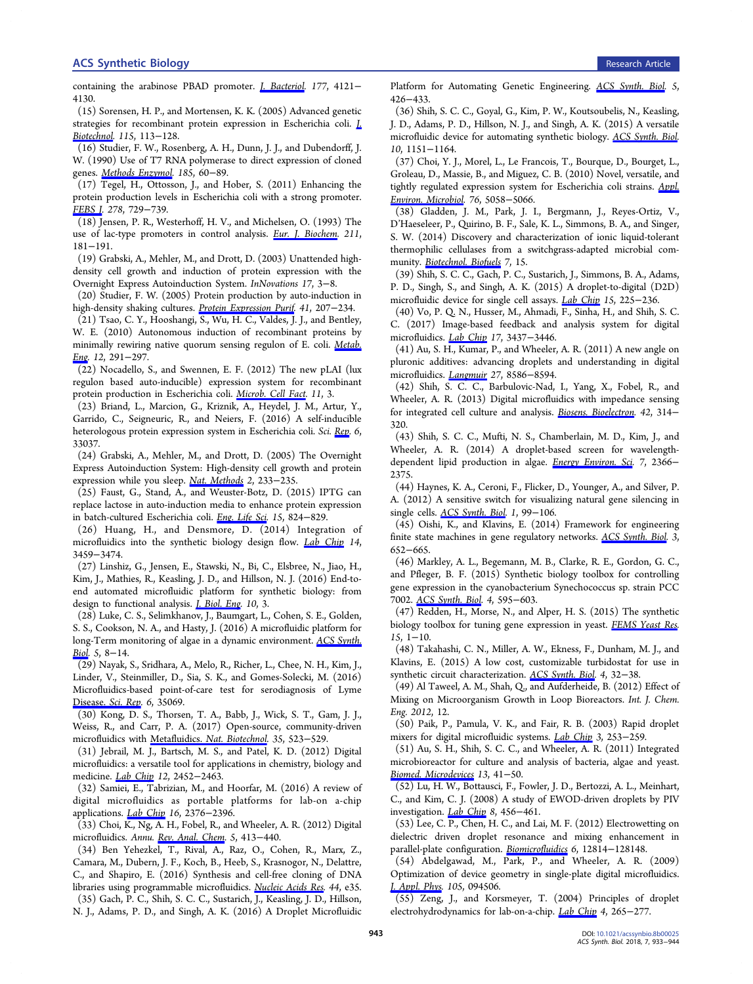<span id="page-10-0"></span>containing the arabinose PBAD promoter. [J. Bacteriol.](http://pubs.acs.org/action/showLinks?pmid=7608087&crossref=10.1128%2Fjb.177.14.4121-4130.1995&coi=1%3ACAS%3A528%3ADyaK2MXmvV2gtL8%253D&citationId=p_n_36_1) 177, 4121− 4130.

(15) Sorensen, H. P., and Mortensen, K. K. (2005) Advanced genetic strategies for recombinant protein expression in Escherichia coli. [J.](http://pubs.acs.org/action/showLinks?pmid=15607230&crossref=10.1016%2Fj.jbiotec.2004.08.004&coi=1%3ACAS%3A528%3ADC%252BD2cXhtFahsr7P&citationId=p_n_37_1) [Biotechnol.](http://pubs.acs.org/action/showLinks?pmid=15607230&crossref=10.1016%2Fj.jbiotec.2004.08.004&coi=1%3ACAS%3A528%3ADC%252BD2cXhtFahsr7P&citationId=p_n_37_1) 115, 113−128.

(16) Studier, F. W., Rosenberg, A. H., Dunn, J. J., and Dubendorff, J. W. (1990) Use of T7 RNA polymerase to direct expression of cloned genes. [Methods Enzymol](http://pubs.acs.org/action/showLinks?pmid=2199796&crossref=10.1016%2F0076-6879%2890%2985008-C&coi=1%3ACAS%3A528%3ADyaK3cXlsVKltro%253D&citationId=p_n_40_1). 185, 60−89.

 $(17)$  Tegel, H., Ottosson, J., and Hober, S.  $(2011)$  Enhancing the protein production levels in Escherichia coli with a strong promoter. FEBS I. 278, 729-739.

(18) Jensen, P. R., Westerhoff, H. V., and Michelsen, O. (1993) The use of lac-type promoters in control analysis. [Eur. J. Biochem](http://pubs.acs.org/action/showLinks?pmid=8425528&crossref=10.1111%2Fj.1432-1033.1993.tb19885.x&coi=1%3ACAS%3A528%3ADyaK3sXnsVKmsw%253D%253D&citationId=p_n_46_1). 211, 181−191.

(19) Grabski, A., Mehler, M., and Drott, D. (2003) Unattended highdensity cell growth and induction of protein expression with the Overnight Express Autoinduction System. InNovations 17, 3−8.

(20) Studier, F. W. (2005) Protein production by auto-induction in high-density shaking cultures. [Protein Expression Purif](http://pubs.acs.org/action/showLinks?pmid=15915565&crossref=10.1016%2Fj.pep.2005.01.016&coi=1%3ACAS%3A528%3ADC%252BD2MXjsFCktLw%253D&citationId=p_n_52_1). 41, 207−234.

(21) Tsao, C. Y., Hooshangi, S., Wu, H. C., Valdes, J. J., and Bentley, W. E. (2010) Autonomous induction of recombinant proteins by minimally rewiring native quorum sensing regulon of E. coli. [Metab.](http://pubs.acs.org/action/showLinks?pmid=20060924&crossref=10.1016%2Fj.ymben.2010.01.002&coi=1%3ACAS%3A528%3ADC%252BC3cXkvFCisLY%253D&citationId=p_n_55_1) [Eng.](http://pubs.acs.org/action/showLinks?pmid=20060924&crossref=10.1016%2Fj.ymben.2010.01.002&coi=1%3ACAS%3A528%3ADC%252BC3cXkvFCisLY%253D&citationId=p_n_55_1) 12, 291−297.

(22) Nocadello, S., and Swennen, E. F. (2012) The new pLAI (lux regulon based auto-inducible) expression system for recombinant protein production in Escherichia coli. [Microb. Cell Fact.](http://pubs.acs.org/action/showLinks?pmid=22222111&crossref=10.1186%2F1475-2859-11-3&coi=1%3ACAS%3A528%3ADC%252BC38XjsVaqs74%253D&citationId=p_n_58_1) 11, 3.

(23) Briand, L., Marcion, G., Kriznik, A., Heydel, J. M., Artur, Y., Garrido, C., Seigneuric, R., and Neiers, F. (2016) A self-inducible heterologous protein expression system in Escherichia coli. Sci. [Rep](http://pubs.acs.org/action/showLinks?coi=1%3ACAS%3A528%3ADC%252BC28XhsV2ktLbN&citationId=p_n_59_1). 6, 33037.

(24) Grabski, A., Mehler, M., and Drott, D. (2005) The Overnight Express Autoinduction System: High-density cell growth and protein expression while you sleep. [Nat. Methods](http://pubs.acs.org/action/showLinks?crossref=10.1038%2Fnmeth0305-233&coi=1%3ACAS%3A528%3ADC%252BD2MXisVGns78%253D&citationId=p_n_60_1) 2, 233−235.

(25) Faust, G., Stand, A., and Weuster-Botz, D. (2015) IPTG can replace lactose in auto-induction media to enhance protein expression in batch-cultured Escherichia coli. [Eng. Life Sci.](http://pubs.acs.org/action/showLinks?crossref=10.1002%2Felsc.201500011&coi=1%3ACAS%3A528%3ADC%252BC2MXhtVWqsLnJ&citationId=p_n_63_1) 15, 824−829.

(26) Huang, H., and Densmore, D. (2014) Integration of microfluidics into the synthetic biology design flow. [Lab Chip](http://pubs.acs.org/action/showLinks?pmid=25012162&crossref=10.1039%2FC4LC00509K&coi=1%3ACAS%3A528%3ADC%252BC2cXhtVaisLjI&citationId=p_n_66_1) 14, 3459−3474.

(27) Linshiz, G., Jensen, E., Stawski, N., Bi, C., Elsbree, N., Jiao, H., Kim, J., Mathies, R., Keasling, J. D., and Hillson, N. J. (2016) End-toend automated microfluidic platform for synthetic biology: from design to functional analysis. *[J. Biol. Eng.](http://pubs.acs.org/action/showLinks?pmid=26839585&crossref=10.1186%2Fs13036-016-0024-5&coi=1%3ACAS%3A528%3ADC%252BC28XitFeqsrbK&citationId=p_n_69_1)* 10, 3.

(28) Luke, C. S., Selimkhanov, J., Baumgart, L., Cohen, S. E., Golden, S. S., Cookson, N. A., and Hasty, J. (2016) A microfluidic platform for long-Term monitoring of algae in a dynamic environment. [ACS Synth.](http://pubs.acs.org/action/showLinks?system=10.1021%2Facssynbio.5b00094&coi=1%3ACAS%3A528%3ADC%252BC2MXhsVartL3N&citationId=p_n_70_1) [Biol](http://pubs.acs.org/action/showLinks?system=10.1021%2Facssynbio.5b00094&coi=1%3ACAS%3A528%3ADC%252BC2MXhsVartL3N&citationId=p_n_70_1). 5, 8−14.

(29) Nayak, S., Sridhara, A., Melo, R., Richer, L., Chee, N. H., Kim, J., Linder, V., Steinmiller, D., Sia, S. K., and Gomes-Solecki, M. (2016) Microfluidics-based point-of-care test for serodiagnosis of Lyme [Disease.](http://pubs.acs.org/action/showLinks?crossref=10.1038%2Fsrep35069&citationId=p_n_73_1) Sci. Rep. 6, 35069.

(30) Kong, D. S., Thorsen, T. A., Babb, J., Wick, S. T., Gam, J. J., Weiss, R., and Carr, P. A. (2017) Open-source, community-driven microfluidics with Metafluidics. [Nat. Biotechnol.](http://pubs.acs.org/action/showLinks?pmid=28591125&crossref=10.1038%2Fnbt.3873&citationId=p_n_74_1) 35, 523−529.

(31) Jebrail, M. J., Bartsch, M. S., and Patel, K. D. (2012) Digital microfluidics: a versatile tool for applications in chemistry, biology and medicine. [Lab Chip](http://pubs.acs.org/action/showLinks?pmid=22699371&crossref=10.1039%2Fc2lc40318h&coi=1%3ACAS%3A528%3ADC%252BC38XovVylsL8%253D&citationId=p_n_77_1) 12, 2452−2463.

(32) Samiei, E., Tabrizian, M., and Hoorfar, M. (2016) A review of digital microfluidics as portable platforms for lab-on a-chip applications. [Lab Chip](http://pubs.acs.org/action/showLinks?pmid=27272540&crossref=10.1039%2FC6LC00387G&coi=1%3ACAS%3A528%3ADC%252BC28XovVejs7c%253D&citationId=p_n_80_1) 16, 2376−2396.

(33) Choi, K., Ng, A. H., Fobel, R., and Wheeler, A. R. (2012) Digital microfluidics. Annu. [Rev. Anal. Chem.](http://pubs.acs.org/action/showLinks?crossref=10.1146%2Fannurev-anchem-062011-143028&coi=1%3ACAS%3A528%3ADC%252BC38Xht1GmtLnF&citationId=p_n_83_1) 5, 413−440.

(34) Ben Yehezkel, T., Rival, A., Raz, O., Cohen, R., Marx, Z., Camara, M., Dubern, J. F., Koch, B., Heeb, S., Krasnogor, N., Delattre, C., and Shapiro, E. (2016) Synthesis and cell-free cloning of DNA libraries using programmable microfluidics. [Nucleic Acids Res.](http://pubs.acs.org/action/showLinks?pmid=26481354&crossref=10.1093%2Fnar%2Fgkv1087&citationId=p_n_86_1) 44, e35.

(35) Gach, P. C., Shih, S. C. C., Sustarich, J., Keasling, J. D., Hillson, N. J., Adams, P. D., and Singh, A. K. (2016) A Droplet Microfluidic Platform for Automating Genetic Engineering. [ACS Synth. Biol](http://pubs.acs.org/action/showLinks?system=10.1021%2Facssynbio.6b00011&coi=1%3ACAS%3A528%3ADC%252BC28Xhslyru74%253D&citationId=p_n_87_1). 5, 426−433.

(36) Shih, S. C. C., Goyal, G., Kim, P. W., Koutsoubelis, N., Keasling, J. D., Adams, P. D., Hillson, N. J., and Singh, A. K. (2015) A versatile microfluidic device for automating synthetic biology. [ACS Synth. Biol.](http://pubs.acs.org/action/showLinks?system=10.1021%2Facssynbio.5b00062&citationId=p_n_90_1) 10, 1151−1164.

(37) Choi, Y. J., Morel, L., Le Francois, T., Bourque, D., Bourget, L., Groleau, D., Massie, B., and Miguez, C. B. (2010) Novel, versatile, and tightly regulated expression system for Escherichia coli strains. [Appl.](http://pubs.acs.org/action/showLinks?pmid=20562288&crossref=10.1128%2FAEM.00413-10&coi=1%3ACAS%3A528%3ADC%252BC3cXhtFWnurrM&citationId=p_n_93_1) [Environ. Microbiol](http://pubs.acs.org/action/showLinks?pmid=20562288&crossref=10.1128%2FAEM.00413-10&coi=1%3ACAS%3A528%3ADC%252BC3cXhtFWnurrM&citationId=p_n_93_1). 76, 5058−5066.

(38) Gladden, J. M., Park, J. I., Bergmann, J., Reyes-Ortiz, V., D'Haeseleer, P., Quirino, B. F., Sale, K. L., Simmons, B. A., and Singer, S. W. (2014) Discovery and characterization of ionic liquid-tolerant thermophilic cellulases from a switchgrass-adapted microbial community. [Biotechnol. Biofuels](http://pubs.acs.org/action/showLinks?pmid=24479406&crossref=10.1186%2F1754-6834-7-15&coi=1%3ACAS%3A528%3ADC%252BC2MXjsFaqsbk%253D&citationId=p_n_96_1) 7, 15.

(39) Shih, S. C. C., Gach, P. C., Sustarich, J., Simmons, B. A., Adams, P. D., Singh, S., and Singh, A. K. (2015) A droplet-to-digital (D2D) microfluidic device for single cell assays. [Lab Chip](http://pubs.acs.org/action/showLinks?pmid=25354549&crossref=10.1039%2FC4LC00794H&coi=1%3ACAS%3A528%3ADC%252BC2cXhvVemtLvE&citationId=p_n_97_1) 15, 225−236.

(40) Vo, P. Q. N., Husser, M., Ahmadi, F., Sinha, H., and Shih, S. C. C. (2017) Image-based feedback and analysis system for digital microfluidics. [Lab Chip](http://pubs.acs.org/action/showLinks?pmid=28871290&crossref=10.1039%2FC7LC00826K&coi=1%3ACAS%3A528%3ADC%252BC2sXhsVGis7fL&citationId=p_n_100_1) 17, 3437−3446.

(41) Au, S. H., Kumar, P., and Wheeler, A. R. (2011) A new angle on pluronic additives: advancing droplets and understanding in digital microfluidics. [Langmuir](http://pubs.acs.org/action/showLinks?system=10.1021%2Fla201185c&coi=1%3ACAS%3A528%3ADC%252BC3MXnt1Gntbg%253D&citationId=p_n_103_1) 27, 8586−8594.

(42) Shih, S. C. C., Barbulovic-Nad, I., Yang, X., Fobel, R., and Wheeler, A. R. (2013) Digital microfluidics with impedance sensing for integrated cell culture and analysis. [Biosens. Bioelectron](http://pubs.acs.org/action/showLinks?pmid=23208104&crossref=10.1016%2Fj.bios.2012.10.035&coi=1%3ACAS%3A528%3ADC%252BC3sXisVyis7c%253D&citationId=p_n_106_1). 42, 314− 320.

(43) Shih, S. C. C., Mufti, N. S., Chamberlain, M. D., Kim, J., and Wheeler, A. R. (2014) A droplet-based screen for wavelength-dependent lipid production in algae. [Energy Environ. Sci.](http://pubs.acs.org/action/showLinks?crossref=10.1039%2Fc4ee01123f&coi=1%3ACAS%3A528%3ADC%252BC2cXhtVymu7%252FE&citationId=p_n_107_1) 7, 2366− 2375.

(44) Haynes, K. A., Ceroni, F., Flicker, D., Younger, A., and Silver, P. A. (2012) A sensitive switch for visualizing natural gene silencing in single cells. [ACS Synth. Biol](http://pubs.acs.org/action/showLinks?system=10.1021%2Fsb3000035&coi=1%3ACAS%3A528%3ADC%252BC38XjtVWis74%253D&citationId=p_n_108_1). 1, 99-106.

(45) Oishi, K., and Klavins, E. (2014) Framework for engineering finite state machines in gene regulatory networks. [ACS Synth. Biol.](http://pubs.acs.org/action/showLinks?system=10.1021%2Fsb4001799&coi=1%3ACAS%3A528%3ADC%252BC2cXivFWntLs%253D&citationId=p_n_111_1) 3, 652−665.

(46) Markley, A. L., Begemann, M. B., Clarke, R. E., Gordon, G. C., and Pfleger, B. F. (2015) Synthetic biology toolbox for controlling gene expression in the cyanobacterium Synechococcus sp. strain PCC 7002. [ACS Synth. Biol.](http://pubs.acs.org/action/showLinks?system=10.1021%2Fsb500260k&coi=1%3ACAS%3A528%3ADC%252BC2cXhsFelsbjO&citationId=p_n_114_1) 4, 595-603.

(47) Redden, H., Morse, N., and Alper, H. S. (2015) The synthetic biology toolbox for tuning gene expression in yeast. [FEMS Yeast Res.](http://pubs.acs.org/action/showLinks?pmid=25047958&crossref=10.1093%2Ffemsyr%2Ffou003&coi=1%3ACAS%3A528%3ADC%252BC2sXhsVGgt7vI&citationId=p_n_117_1) 15, 1−10.

(48) Takahashi, C. N., Miller, A. W., Ekness, F., Dunham, M. J., and Klavins, E. (2015) A low cost, customizable turbidostat for use in synthetic circuit characterization. [ACS Synth. Biol](http://pubs.acs.org/action/showLinks?system=10.1021%2Fsb500165g&coi=1%3ACAS%3A528%3ADC%252BC2cXhtFOqtb7P&citationId=p_n_120_1). 4, 32−38.

(49) Al Taweel, A. M., Shah, Q., and Aufderheide, B. (2012) Effect of Mixing on Microorganism Growth in Loop Bioreactors. Int. J. Chem. Eng. 2012, 12.

(50) Paik, P., Pamula, V. K., and Fair, R. B. (2003) Rapid droplet mixers for digital microfluidic systems. [Lab Chip](http://pubs.acs.org/action/showLinks?pmid=15007455&crossref=10.1039%2FB307628H&coi=1%3ACAS%3A528%3ADC%252BD2cXitlaiuw%253D%253D&citationId=p_n_124_1) 3, 253-259.

(51) Au, S. H., Shih, S. C. C., and Wheeler, A. R. (2011) Integrated microbioreactor for culture and analysis of bacteria, algae and yeast. [Biomed. Microdevices](http://pubs.acs.org/action/showLinks?pmid=20838902&crossref=10.1007%2Fs10544-010-9469-3&coi=1%3ACAS%3A528%3ADC%252BC3MXht1Cntb4%253D&citationId=p_n_127_1) 13, 41−50.

(52) Lu, H. W., Bottausci, F., Fowler, J. D., Bertozzi, A. L., Meinhart, C., and Kim, C. J. (2008) A study of EWOD-driven droplets by PIV investigation. [Lab Chip](http://pubs.acs.org/action/showLinks?pmid=18305865&crossref=10.1039%2Fb717141b&coi=1%3ACAS%3A528%3ADC%252BD1cXisFSrs7k%253D&citationId=p_n_130_1) 8, 456−461.

(53) Lee, C. P., Chen, H. C., and Lai, M. F. (2012) Electrowetting on dielectric driven droplet resonance and mixing enhancement in parallel-plate configuration. [Biomicrofluidics](http://pubs.acs.org/action/showLinks?pmid=22662081&crossref=10.1063%2F1.3673258&coi=1%3ACAS%3A280%3ADC%252BC38nos1Sgsw%253D%253D&citationId=p_n_133_1) 6, 12814−128148.

(54) Abdelgawad, M., Park, P., and Wheeler, A. R. (2009) Optimization of device geometry in single-plate digital microfluidics. [J. Appl. Phys.](http://pubs.acs.org/action/showLinks?crossref=10.1063%2F1.3117216&coi=1%3ACAS%3A528%3ADC%252BD1MXmtVChtbo%253D&citationId=p_n_136_1) 105, 094506.

(55) Zeng, J., and Korsmeyer, T. (2004) Principles of droplet electrohydrodynamics for lab-on-a-chip. [Lab Chip](http://pubs.acs.org/action/showLinks?pmid=15269791&crossref=10.1039%2Fb403082f&coi=1%3ACAS%3A528%3ADC%252BD2cXlvVKms7g%253D&citationId=p_n_137_1) 4, 265−277.